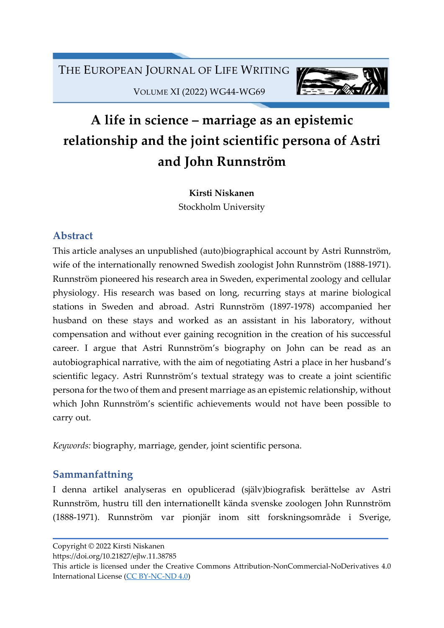

VOLUME XI (2022) WG44-WG69

# A life in science – marriage as an epistemic relationship and the joint scientific persona of Astri and John Runnström

Kirsti Niskanen Stockholm University

### Abstract

This article analyses an unpublished (auto)biographical account by Astri Runnström, wife of the internationally renowned Swedish zoologist John Runnström (1888-1971). Runnström pioneered his research area in Sweden, experimental zoology and cellular physiology. His research was based on long, recurring stays at marine biological stations in Sweden and abroad. Astri Runnström (1897-1978) accompanied her husband on these stays and worked as an assistant in his laboratory, without compensation and without ever gaining recognition in the creation of his successful career. I argue that Astri Runnström's biography on John can be read as an autobiographical narrative, with the aim of negotiating Astri a place in her husband's scientific legacy. Astri Runnström's textual strategy was to create a joint scientific persona for the two of them and present marriage as an epistemic relationship, without which John Runnström's scientific achievements would not have been possible to carry out.

Keywords: biography, marriage, gender, joint scientific persona.

### Sammanfattning

I denna artikel analyseras en opublicerad (själv)biografisk berättelse av Astri Runnström, hustru till den internationellt kända svenske zoologen John Runnström (1888-1971). Runnström var pionjär inom sitt forskningsområde i Sverige,

https://doi.org/10.21827/ejlw.11.38785

Copyright © 2022 Kirsti Niskanen

This article is licensed under the Creative Commons Attribution-NonCommercial-NoDerivatives 4.0 International License (CC BY-NC-ND 4.0)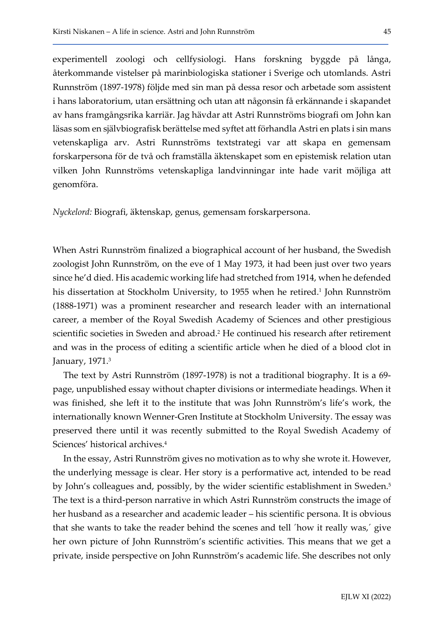experimentell zoologi och cellfysiologi. Hans forskning byggde på långa, återkommande vistelser på marinbiologiska stationer i Sverige och utomlands. Astri Runnström (1897-1978) följde med sin man på dessa resor och arbetade som assistent i hans laboratorium, utan ersättning och utan att någonsin få erkännande i skapandet av hans framgångsrika karriär. Jag hävdar att Astri Runnströms biografi om John kan läsas som en självbiografisk berättelse med syftet att förhandla Astri en plats i sin mans vetenskapliga arv. Astri Runnströms textstrategi var att skapa en gemensam forskarpersona för de två och framställa äktenskapet som en epistemisk relation utan vilken John Runnströms vetenskapliga landvinningar inte hade varit möjliga att genomföra.

Nyckelord: Biografi, äktenskap, genus, gemensam forskarpersona.

When Astri Runnström finalized a biographical account of her husband, the Swedish zoologist John Runnström, on the eve of 1 May 1973, it had been just over two years since he'd died. His academic working life had stretched from 1914, when he defended his dissertation at Stockholm University, to 1955 when he retired.<sup>1</sup> John Runnström (1888-1971) was a prominent researcher and research leader with an international career, a member of the Royal Swedish Academy of Sciences and other prestigious scientific societies in Sweden and abroad.<sup>2</sup> He continued his research after retirement and was in the process of editing a scientific article when he died of a blood clot in January, 1971.<sup>3</sup>

The text by Astri Runnström (1897-1978) is not a traditional biography. It is a 69 page, unpublished essay without chapter divisions or intermediate headings. When it was finished, she left it to the institute that was John Runnström's life's work, the internationally known Wenner-Gren Institute at Stockholm University. The essay was preserved there until it was recently submitted to the Royal Swedish Academy of Sciences' historical archives.<sup>4</sup>

In the essay, Astri Runnström gives no motivation as to why she wrote it. However, the underlying message is clear. Her story is a performative act, intended to be read by John's colleagues and, possibly, by the wider scientific establishment in Sweden.<sup>5</sup> The text is a third-person narrative in which Astri Runnström constructs the image of her husband as a researcher and academic leader – his scientific persona. It is obvious that she wants to take the reader behind the scenes and tell ´how it really was,´ give her own picture of John Runnström's scientific activities. This means that we get a private, inside perspective on John Runnström's academic life. She describes not only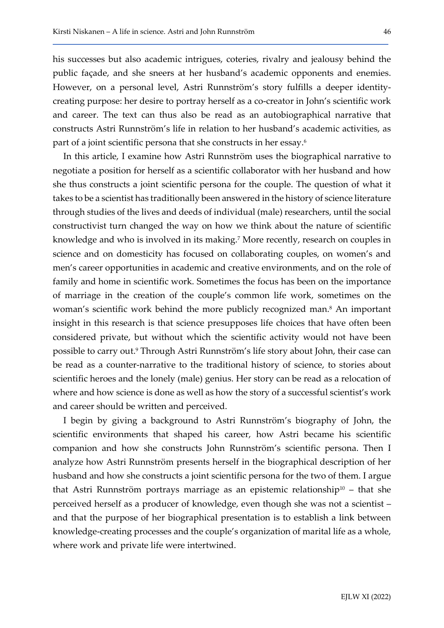his successes but also academic intrigues, coteries, rivalry and jealousy behind the public façade, and she sneers at her husband's academic opponents and enemies. However, on a personal level, Astri Runnström's story fulfills a deeper identitycreating purpose: her desire to portray herself as a co-creator in John's scientific work and career. The text can thus also be read as an autobiographical narrative that constructs Astri Runnström's life in relation to her husband's academic activities, as part of a joint scientific persona that she constructs in her essay.<sup>6</sup>

In this article, I examine how Astri Runnström uses the biographical narrative to negotiate a position for herself as a scientific collaborator with her husband and how she thus constructs a joint scientific persona for the couple. The question of what it takes to be a scientist has traditionally been answered in the history of science literature through studies of the lives and deeds of individual (male) researchers, until the social constructivist turn changed the way on how we think about the nature of scientific knowledge and who is involved in its making.<sup>7</sup> More recently, research on couples in science and on domesticity has focused on collaborating couples, on women's and men's career opportunities in academic and creative environments, and on the role of family and home in scientific work. Sometimes the focus has been on the importance of marriage in the creation of the couple's common life work, sometimes on the woman's scientific work behind the more publicly recognized man.<sup>8</sup> An important insight in this research is that science presupposes life choices that have often been considered private, but without which the scientific activity would not have been possible to carry out.<sup>9</sup> Through Astri Runnström's life story about John, their case can be read as a counter-narrative to the traditional history of science, to stories about scientific heroes and the lonely (male) genius. Her story can be read as a relocation of where and how science is done as well as how the story of a successful scientist's work and career should be written and perceived.

I begin by giving a background to Astri Runnström's biography of John, the scientific environments that shaped his career, how Astri became his scientific companion and how she constructs John Runnström's scientific persona. Then I analyze how Astri Runnström presents herself in the biographical description of her husband and how she constructs a joint scientific persona for the two of them. I argue that Astri Runnström portrays marriage as an epistemic relationship<sup>10</sup> – that she perceived herself as a producer of knowledge, even though she was not a scientist – and that the purpose of her biographical presentation is to establish a link between knowledge-creating processes and the couple's organization of marital life as a whole, where work and private life were intertwined.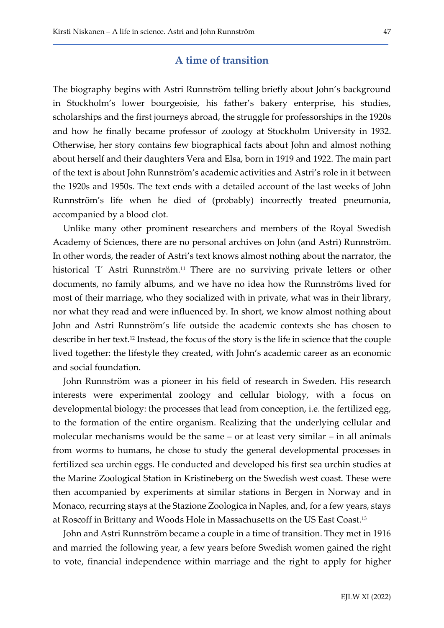### A time of transition

The biography begins with Astri Runnström telling briefly about John's background in Stockholm's lower bourgeoisie, his father's bakery enterprise, his studies, scholarships and the first journeys abroad, the struggle for professorships in the 1920s and how he finally became professor of zoology at Stockholm University in 1932. Otherwise, her story contains few biographical facts about John and almost nothing about herself and their daughters Vera and Elsa, born in 1919 and 1922. The main part of the text is about John Runnström's academic activities and Astri's role in it between the 1920s and 1950s. The text ends with a detailed account of the last weeks of John Runnström's life when he died of (probably) incorrectly treated pneumonia, accompanied by a blood clot.

Unlike many other prominent researchers and members of the Royal Swedish Academy of Sciences, there are no personal archives on John (and Astri) Runnström. In other words, the reader of Astri's text knows almost nothing about the narrator, the historical <sup>'I'</sup> Astri Runnström.<sup>11</sup> There are no surviving private letters or other documents, no family albums, and we have no idea how the Runnströms lived for most of their marriage, who they socialized with in private, what was in their library, nor what they read and were influenced by. In short, we know almost nothing about John and Astri Runnström's life outside the academic contexts she has chosen to describe in her text.12 Instead, the focus of the story is the life in science that the couple lived together: the lifestyle they created, with John's academic career as an economic and social foundation.

John Runnström was a pioneer in his field of research in Sweden. His research interests were experimental zoology and cellular biology, with a focus on developmental biology: the processes that lead from conception, i.e. the fertilized egg, to the formation of the entire organism. Realizing that the underlying cellular and molecular mechanisms would be the same – or at least very similar – in all animals from worms to humans, he chose to study the general developmental processes in fertilized sea urchin eggs. He conducted and developed his first sea urchin studies at the Marine Zoological Station in Kristineberg on the Swedish west coast. These were then accompanied by experiments at similar stations in Bergen in Norway and in Monaco, recurring stays at the Stazione Zoologica in Naples, and, for a few years, stays at Roscoff in Brittany and Woods Hole in Massachusetts on the US East Coast.<sup>13</sup>

John and Astri Runnström became a couple in a time of transition. They met in 1916 and married the following year, a few years before Swedish women gained the right to vote, financial independence within marriage and the right to apply for higher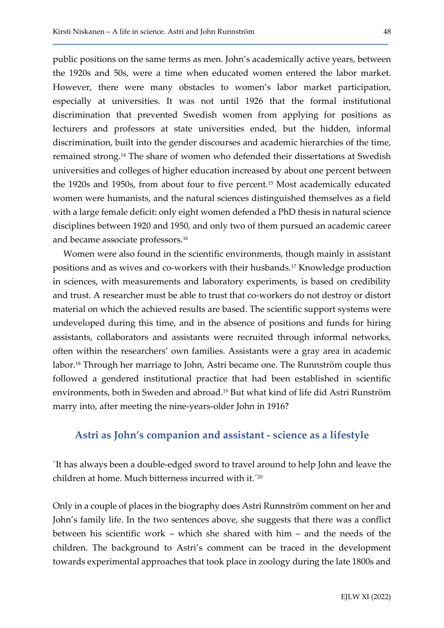public positions on the same terms as men. John's academically active years, between the 1920s and 50s, were a time when educated women entered the labor market. However, there were many obstacles to women's labor market participation, especially at universities. It was not until 1926 that the formal institutional discrimination that prevented Swedish women from applying for positions as lecturers and professors at state universities ended, but the hidden, informal discrimination, built into the gender discourses and academic hierarchies of the time, remained strong.14 The share of women who defended their dissertations at Swedish universities and colleges of higher education increased by about one percent between the 1920s and 1950s, from about four to five percent.15 Most academically educated women were humanists, and the natural sciences distinguished themselves as a field with a large female deficit: only eight women defended a PhD thesis in natural science disciplines between 1920 and 1950, and only two of them pursued an academic career and became associate professors.<sup>16</sup>

Women were also found in the scientific environments, though mainly in assistant positions and as wives and co-workers with their husbands.17 Knowledge production in sciences, with measurements and laboratory experiments, is based on credibility and trust. A researcher must be able to trust that co-workers do not destroy or distort material on which the achieved results are based. The scientific support systems were undeveloped during this time, and in the absence of positions and funds for hiring assistants, collaborators and assistants were recruited through informal networks, often within the researchers' own families. Assistants were a gray area in academic labor.18 Through her marriage to John, Astri became one. The Runnström couple thus followed a gendered institutional practice that had been established in scientific environments, both in Sweden and abroad.19 But what kind of life did Astri Runström marry into, after meeting the nine-years-older John in 1916?

### Astri as John's companion and assistant - science as a lifestyle

´It has always been a double-edged sword to travel around to help John and leave the children at home. Much bitterness incurred with it.´<sup>20</sup>

Only in a couple of places in the biography does Astri Runnström comment on her and John's family life. In the two sentences above, she suggests that there was a conflict between his scientific work – which she shared with him – and the needs of the children. The background to Astri's comment can be traced in the development towards experimental approaches that took place in zoology during the late 1800s and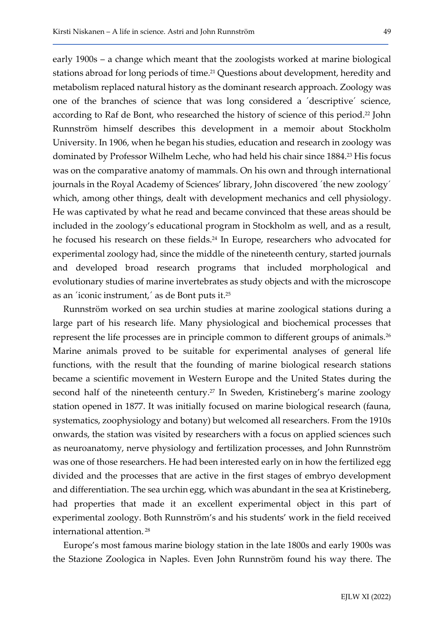early 1900s – a change which meant that the zoologists worked at marine biological stations abroad for long periods of time.21 Questions about development, heredity and metabolism replaced natural history as the dominant research approach. Zoology was one of the branches of science that was long considered a ´descriptive´ science, according to Raf de Bont, who researched the history of science of this period.<sup>22</sup> John Runnström himself describes this development in a memoir about Stockholm University. In 1906, when he began his studies, education and research in zoology was dominated by Professor Wilhelm Leche, who had held his chair since 1884.<sup>23</sup> His focus was on the comparative anatomy of mammals. On his own and through international journals in the Royal Academy of Sciences' library, John discovered ´the new zoology´ which, among other things, dealt with development mechanics and cell physiology. He was captivated by what he read and became convinced that these areas should be included in the zoology's educational program in Stockholm as well, and as a result, he focused his research on these fields.24 In Europe, researchers who advocated for experimental zoology had, since the middle of the nineteenth century, started journals and developed broad research programs that included morphological and evolutionary studies of marine invertebrates as study objects and with the microscope as an ´iconic instrument,´ as de Bont puts it.<sup>25</sup>

Runnström worked on sea urchin studies at marine zoological stations during a large part of his research life. Many physiological and biochemical processes that represent the life processes are in principle common to different groups of animals.<sup>26</sup> Marine animals proved to be suitable for experimental analyses of general life functions, with the result that the founding of marine biological research stations became a scientific movement in Western Europe and the United States during the second half of the nineteenth century.<sup>27</sup> In Sweden, Kristineberg's marine zoology station opened in 1877. It was initially focused on marine biological research (fauna, systematics, zoophysiology and botany) but welcomed all researchers. From the 1910s onwards, the station was visited by researchers with a focus on applied sciences such as neuroanatomy, nerve physiology and fertilization processes, and John Runnström was one of those researchers. He had been interested early on in how the fertilized egg divided and the processes that are active in the first stages of embryo development and differentiation. The sea urchin egg, which was abundant in the sea at Kristineberg, had properties that made it an excellent experimental object in this part of experimental zoology. Both Runnström's and his students' work in the field received international attention.<sup>28</sup>

Europe's most famous marine biology station in the late 1800s and early 1900s was the Stazione Zoologica in Naples. Even John Runnström found his way there. The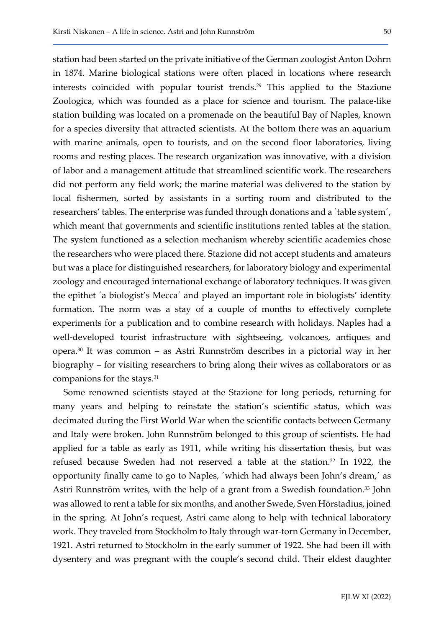station had been started on the private initiative of the German zoologist Anton Dohrn in 1874. Marine biological stations were often placed in locations where research interests coincided with popular tourist trends.29 This applied to the Stazione Zoologica, which was founded as a place for science and tourism. The palace-like station building was located on a promenade on the beautiful Bay of Naples, known for a species diversity that attracted scientists. At the bottom there was an aquarium with marine animals, open to tourists, and on the second floor laboratories, living rooms and resting places. The research organization was innovative, with a division of labor and a management attitude that streamlined scientific work. The researchers did not perform any field work; the marine material was delivered to the station by local fishermen, sorted by assistants in a sorting room and distributed to the researchers' tables. The enterprise was funded through donations and a ´table system´, which meant that governments and scientific institutions rented tables at the station. The system functioned as a selection mechanism whereby scientific academies chose the researchers who were placed there. Stazione did not accept students and amateurs but was a place for distinguished researchers, for laboratory biology and experimental zoology and encouraged international exchange of laboratory techniques. It was given the epithet ´a biologist's Mecca´ and played an important role in biologists' identity formation. The norm was a stay of a couple of months to effectively complete experiments for a publication and to combine research with holidays. Naples had a well-developed tourist infrastructure with sightseeing, volcanoes, antiques and opera.30 It was common – as Astri Runnström describes in a pictorial way in her biography – for visiting researchers to bring along their wives as collaborators or as companions for the stays.<sup>31</sup>

Some renowned scientists stayed at the Stazione for long periods, returning for many years and helping to reinstate the station's scientific status, which was decimated during the First World War when the scientific contacts between Germany and Italy were broken. John Runnström belonged to this group of scientists. He had applied for a table as early as 1911, while writing his dissertation thesis, but was refused because Sweden had not reserved a table at the station.<sup>32</sup> In 1922, the opportunity finally came to go to Naples, ´which had always been John's dream,´ as Astri Runnström writes, with the help of a grant from a Swedish foundation.<sup>33</sup> John was allowed to rent a table for six months, and another Swede, Sven Hörstadius, joined in the spring. At John's request, Astri came along to help with technical laboratory work. They traveled from Stockholm to Italy through war-torn Germany in December, 1921. Astri returned to Stockholm in the early summer of 1922. She had been ill with dysentery and was pregnant with the couple's second child. Their eldest daughter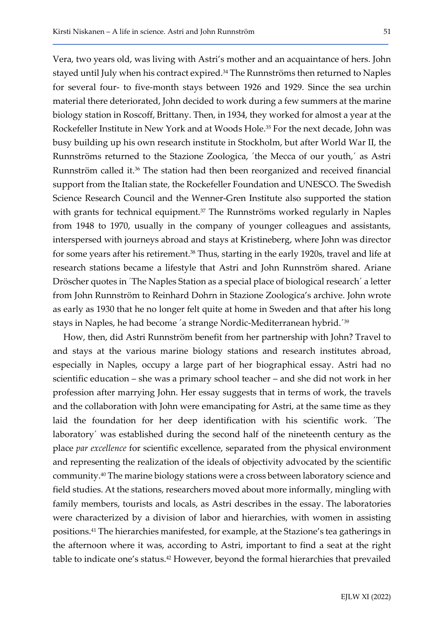Vera, two years old, was living with Astri's mother and an acquaintance of hers. John stayed until July when his contract expired.<sup>34</sup> The Runnströms then returned to Naples for several four- to five-month stays between 1926 and 1929. Since the sea urchin material there deteriorated, John decided to work during a few summers at the marine biology station in Roscoff, Brittany. Then, in 1934, they worked for almost a year at the Rockefeller Institute in New York and at Woods Hole.<sup>35</sup> For the next decade, John was busy building up his own research institute in Stockholm, but after World War II, the Runnströms returned to the Stazione Zoologica, ´the Mecca of our youth,´ as Astri Runnström called it.36 The station had then been reorganized and received financial support from the Italian state, the Rockefeller Foundation and UNESCO. The Swedish Science Research Council and the Wenner-Gren Institute also supported the station with grants for technical equipment. $37$  The Runnströms worked regularly in Naples from 1948 to 1970, usually in the company of younger colleagues and assistants, interspersed with journeys abroad and stays at Kristineberg, where John was director for some years after his retirement.<sup>38</sup> Thus, starting in the early 1920s, travel and life at research stations became a lifestyle that Astri and John Runnström shared. Ariane Dröscher quotes in ´The Naples Station as a special place of biological research´ a letter from John Runnström to Reinhard Dohrn in Stazione Zoologica's archive. John wrote as early as 1930 that he no longer felt quite at home in Sweden and that after his long stays in Naples, he had become ´a strange Nordic-Mediterranean hybrid.´<sup>39</sup>

How, then, did Astri Runnström benefit from her partnership with John? Travel to and stays at the various marine biology stations and research institutes abroad, especially in Naples, occupy a large part of her biographical essay. Astri had no scientific education – she was a primary school teacher – and she did not work in her profession after marrying John. Her essay suggests that in terms of work, the travels and the collaboration with John were emancipating for Astri, at the same time as they laid the foundation for her deep identification with his scientific work. ´The laboratory´ was established during the second half of the nineteenth century as the place par excellence for scientific excellence, separated from the physical environment and representing the realization of the ideals of objectivity advocated by the scientific community.40 The marine biology stations were a cross between laboratory science and field studies. At the stations, researchers moved about more informally, mingling with family members, tourists and locals, as Astri describes in the essay. The laboratories were characterized by a division of labor and hierarchies, with women in assisting positions.41 The hierarchies manifested, for example, at the Stazione's tea gatherings in the afternoon where it was, according to Astri, important to find a seat at the right table to indicate one's status.<sup>42</sup> However, beyond the formal hierarchies that prevailed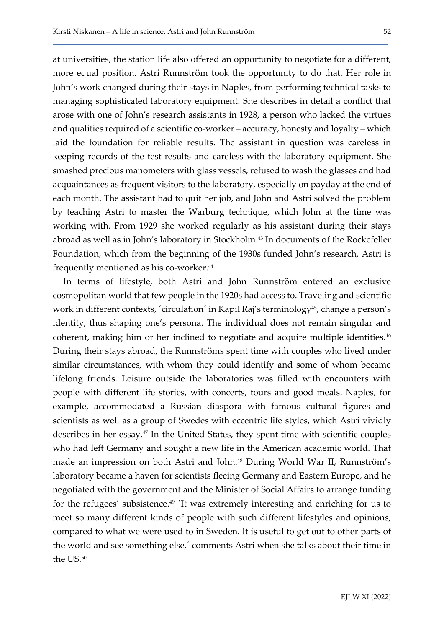at universities, the station life also offered an opportunity to negotiate for a different, more equal position. Astri Runnström took the opportunity to do that. Her role in John's work changed during their stays in Naples, from performing technical tasks to managing sophisticated laboratory equipment. She describes in detail a conflict that arose with one of John's research assistants in 1928, a person who lacked the virtues and qualities required of a scientific co-worker – accuracy, honesty and loyalty – which laid the foundation for reliable results. The assistant in question was careless in keeping records of the test results and careless with the laboratory equipment. She smashed precious manometers with glass vessels, refused to wash the glasses and had acquaintances as frequent visitors to the laboratory, especially on payday at the end of each month. The assistant had to quit her job, and John and Astri solved the problem by teaching Astri to master the Warburg technique, which John at the time was working with. From 1929 she worked regularly as his assistant during their stays abroad as well as in John's laboratory in Stockholm.43 In documents of the Rockefeller Foundation, which from the beginning of the 1930s funded John's research, Astri is frequently mentioned as his co-worker.<sup>44</sup>

In terms of lifestyle, both Astri and John Runnström entered an exclusive cosmopolitan world that few people in the 1920s had access to. Traveling and scientific work in different contexts, 'circulation' in Kapil Raj's terminology<sup>45</sup>, change a person's identity, thus shaping one's persona. The individual does not remain singular and coherent, making him or her inclined to negotiate and acquire multiple identities.<sup>46</sup> During their stays abroad, the Runnströms spent time with couples who lived under similar circumstances, with whom they could identify and some of whom became lifelong friends. Leisure outside the laboratories was filled with encounters with people with different life stories, with concerts, tours and good meals. Naples, for example, accommodated a Russian diaspora with famous cultural figures and scientists as well as a group of Swedes with eccentric life styles, which Astri vividly describes in her essay.<sup>47</sup> In the United States, they spent time with scientific couples who had left Germany and sought a new life in the American academic world. That made an impression on both Astri and John.48 During World War II, Runnström's laboratory became a haven for scientists fleeing Germany and Eastern Europe, and he negotiated with the government and the Minister of Social Affairs to arrange funding for the refugees' subsistence.49 ´It was extremely interesting and enriching for us to meet so many different kinds of people with such different lifestyles and opinions, compared to what we were used to in Sweden. It is useful to get out to other parts of the world and see something else,´ comments Astri when she talks about their time in the US.<sup>50</sup>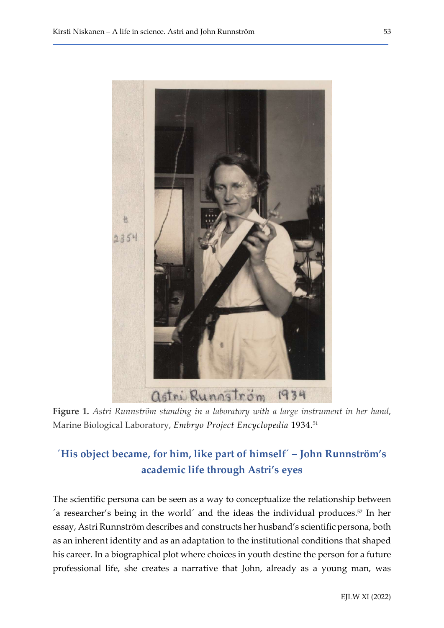

Figure 1. Astri Runnström standing in a laboratory with a large instrument in her hand, Marine Biological Laboratory, Embryo Project Encyclopedia 1934.<sup>51</sup>

## ´His object became, for him, like part of himself´ – John Runnström's academic life through Astri's eyes

The scientific persona can be seen as a way to conceptualize the relationship between  $\alpha$  researcher's being in the world' and the ideas the individual produces.<sup>52</sup> In her essay, Astri Runnström describes and constructs her husband's scientific persona, both as an inherent identity and as an adaptation to the institutional conditions that shaped his career. In a biographical plot where choices in youth destine the person for a future professional life, she creates a narrative that John, already as a young man, was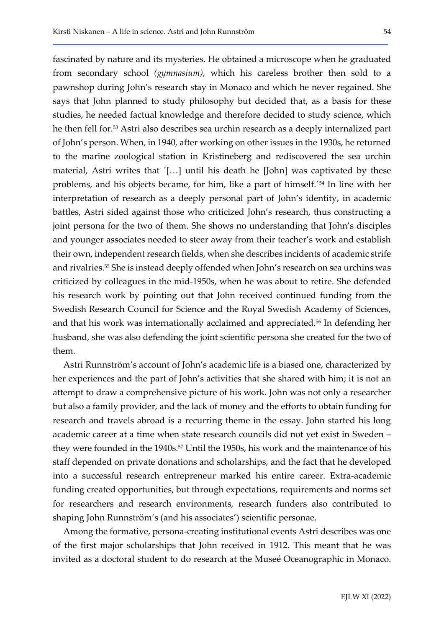fascinated by nature and its mysteries. He obtained a microscope when he graduated from secondary school (gymnasium), which his careless brother then sold to a pawnshop during John's research stay in Monaco and which he never regained. She says that John planned to study philosophy but decided that, as a basis for these studies, he needed factual knowledge and therefore decided to study science, which he then fell for.53 Astri also describes sea urchin research as a deeply internalized part of John's person. When, in 1940, after working on other issues in the 1930s, he returned to the marine zoological station in Kristineberg and rediscovered the sea urchin material, Astri writes that ´[…] until his death he [John] was captivated by these problems, and his objects became, for him, like a part of himself.´54 In line with her interpretation of research as a deeply personal part of John's identity, in academic battles, Astri sided against those who criticized John's research, thus constructing a joint persona for the two of them. She shows no understanding that John's disciples and younger associates needed to steer away from their teacher's work and establish their own, independent research fields, when she describes incidents of academic strife and rivalries.55 She is instead deeply offended when John's research on sea urchins was criticized by colleagues in the mid-1950s, when he was about to retire. She defended his research work by pointing out that John received continued funding from the Swedish Research Council for Science and the Royal Swedish Academy of Sciences, and that his work was internationally acclaimed and appreciated.<sup>56</sup> In defending her husband, she was also defending the joint scientific persona she created for the two of them.

Astri Runnström's account of John's academic life is a biased one, characterized by her experiences and the part of John's activities that she shared with him; it is not an attempt to draw a comprehensive picture of his work. John was not only a researcher but also a family provider, and the lack of money and the efforts to obtain funding for research and travels abroad is a recurring theme in the essay. John started his long academic career at a time when state research councils did not yet exist in Sweden – they were founded in the 1940s.<sup>57</sup> Until the 1950s, his work and the maintenance of his staff depended on private donations and scholarships, and the fact that he developed into a successful research entrepreneur marked his entire career. Extra-academic funding created opportunities, but through expectations, requirements and norms set for researchers and research environments, research funders also contributed to shaping John Runnström's (and his associates') scientific personae.

Among the formative, persona-creating institutional events Astri describes was one of the first major scholarships that John received in 1912. This meant that he was invited as a doctoral student to do research at the Museé Oceanographic in Monaco.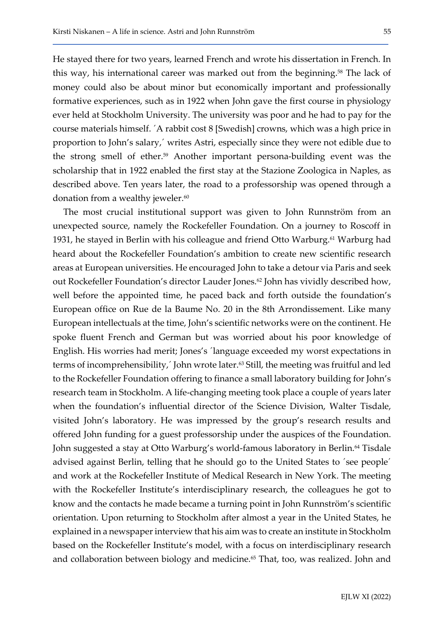He stayed there for two years, learned French and wrote his dissertation in French. In this way, his international career was marked out from the beginning.<sup>58</sup> The lack of money could also be about minor but economically important and professionally formative experiences, such as in 1922 when John gave the first course in physiology ever held at Stockholm University. The university was poor and he had to pay for the course materials himself. ´A rabbit cost 8 [Swedish] crowns, which was a high price in proportion to John's salary,´ writes Astri, especially since they were not edible due to the strong smell of ether.59 Another important persona-building event was the scholarship that in 1922 enabled the first stay at the Stazione Zoologica in Naples, as described above. Ten years later, the road to a professorship was opened through a donation from a wealthy jeweler.<sup>60</sup>

The most crucial institutional support was given to John Runnström from an unexpected source, namely the Rockefeller Foundation. On a journey to Roscoff in 1931, he stayed in Berlin with his colleague and friend Otto Warburg.61 Warburg had heard about the Rockefeller Foundation's ambition to create new scientific research areas at European universities. He encouraged John to take a detour via Paris and seek out Rockefeller Foundation's director Lauder Jones.<sup>62</sup> John has vividly described how, well before the appointed time, he paced back and forth outside the foundation's European office on Rue de la Baume No. 20 in the 8th Arrondissement. Like many European intellectuals at the time, John's scientific networks were on the continent. He spoke fluent French and German but was worried about his poor knowledge of English. His worries had merit; Jones's ´language exceeded my worst expectations in terms of incomprehensibility,<sup>'</sup> John wrote later.<sup>63</sup> Still, the meeting was fruitful and led to the Rockefeller Foundation offering to finance a small laboratory building for John's research team in Stockholm. A life-changing meeting took place a couple of years later when the foundation's influential director of the Science Division, Walter Tisdale, visited John's laboratory. He was impressed by the group's research results and offered John funding for a guest professorship under the auspices of the Foundation. John suggested a stay at Otto Warburg's world-famous laboratory in Berlin.<sup>64</sup> Tisdale advised against Berlin, telling that he should go to the United States to ´see people´ and work at the Rockefeller Institute of Medical Research in New York. The meeting with the Rockefeller Institute's interdisciplinary research, the colleagues he got to know and the contacts he made became a turning point in John Runnström's scientific orientation. Upon returning to Stockholm after almost a year in the United States, he explained in a newspaper interview that his aim was to create an institute in Stockholm based on the Rockefeller Institute's model, with a focus on interdisciplinary research and collaboration between biology and medicine.<sup>65</sup> That, too, was realized. John and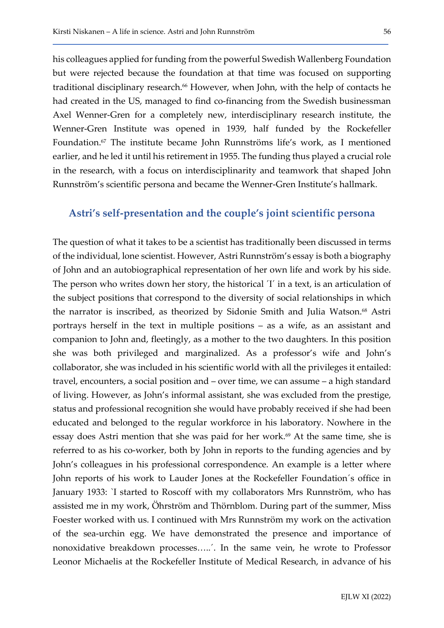his colleagues applied for funding from the powerful Swedish Wallenberg Foundation but were rejected because the foundation at that time was focused on supporting traditional disciplinary research.<sup>66</sup> However, when John, with the help of contacts he had created in the US, managed to find co-financing from the Swedish businessman Axel Wenner-Gren for a completely new, interdisciplinary research institute, the Wenner-Gren Institute was opened in 1939, half funded by the Rockefeller Foundation.67 The institute became John Runnströms life's work, as I mentioned earlier, and he led it until his retirement in 1955. The funding thus played a crucial role in the research, with a focus on interdisciplinarity and teamwork that shaped John Runnström's scientific persona and became the Wenner-Gren Institute's hallmark.

### Astri's self-presentation and the couple's joint scientific persona

The question of what it takes to be a scientist has traditionally been discussed in terms of the individual, lone scientist. However, Astri Runnström's essay is both a biography of John and an autobiographical representation of her own life and work by his side. The person who writes down her story, the historical ´I´ in a text, is an articulation of the subject positions that correspond to the diversity of social relationships in which the narrator is inscribed, as theorized by Sidonie Smith and Julia Watson.<sup>68</sup> Astri portrays herself in the text in multiple positions – as a wife, as an assistant and companion to John and, fleetingly, as a mother to the two daughters. In this position she was both privileged and marginalized. As a professor's wife and John's collaborator, she was included in his scientific world with all the privileges it entailed: travel, encounters, a social position and – over time, we can assume – a high standard of living. However, as John's informal assistant, she was excluded from the prestige, status and professional recognition she would have probably received if she had been educated and belonged to the regular workforce in his laboratory. Nowhere in the essay does Astri mention that she was paid for her work.<sup>69</sup> At the same time, she is referred to as his co-worker, both by John in reports to the funding agencies and by John's colleagues in his professional correspondence. An example is a letter where John reports of his work to Lauder Jones at the Rockefeller Foundation´s office in January 1933: `I started to Roscoff with my collaborators Mrs Runnström, who has assisted me in my work, Öhrström and Thörnblom. During part of the summer, Miss Foester worked with us. I continued with Mrs Runnström my work on the activation of the sea-urchin egg. We have demonstrated the presence and importance of nonoxidative breakdown processes…..´. In the same vein, he wrote to Professor Leonor Michaelis at the Rockefeller Institute of Medical Research, in advance of his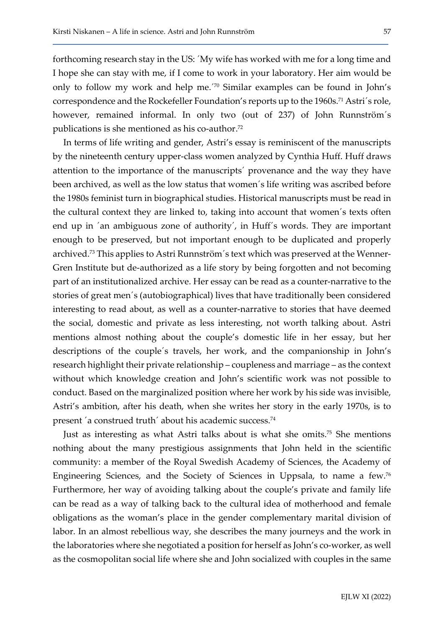forthcoming research stay in the US: ´My wife has worked with me for a long time and I hope she can stay with me, if I come to work in your laboratory. Her aim would be only to follow my work and help me.´70 Similar examples can be found in John's correspondence and the Rockefeller Foundation's reports up to the 1960s.<sup>71</sup> Astri's role, however, remained informal. In only two (out of 237) of John Runnström´s publications is she mentioned as his co-author.<sup>72</sup>

In terms of life writing and gender, Astri's essay is reminiscent of the manuscripts by the nineteenth century upper-class women analyzed by Cynthia Huff. Huff draws attention to the importance of the manuscripts´ provenance and the way they have been archived, as well as the low status that women´s life writing was ascribed before the 1980s feminist turn in biographical studies. Historical manuscripts must be read in the cultural context they are linked to, taking into account that women´s texts often end up in ´an ambiguous zone of authority´, in Huff´s words. They are important enough to be preserved, but not important enough to be duplicated and properly archived.73 This applies to Astri Runnström´s text which was preserved at the Wenner-Gren Institute but de-authorized as a life story by being forgotten and not becoming part of an institutionalized archive. Her essay can be read as a counter-narrative to the stories of great men´s (autobiographical) lives that have traditionally been considered interesting to read about, as well as a counter-narrative to stories that have deemed the social, domestic and private as less interesting, not worth talking about. Astri mentions almost nothing about the couple's domestic life in her essay, but her descriptions of the couple´s travels, her work, and the companionship in John's research highlight their private relationship – coupleness and marriage – as the context without which knowledge creation and John's scientific work was not possible to conduct. Based on the marginalized position where her work by his side was invisible, Astri's ambition, after his death, when she writes her story in the early 1970s, is to present ´a construed truth´ about his academic success.<sup>74</sup>

Just as interesting as what Astri talks about is what she omits.75 She mentions nothing about the many prestigious assignments that John held in the scientific community: a member of the Royal Swedish Academy of Sciences, the Academy of Engineering Sciences, and the Society of Sciences in Uppsala, to name a few.<sup>76</sup> Furthermore, her way of avoiding talking about the couple's private and family life can be read as a way of talking back to the cultural idea of motherhood and female obligations as the woman's place in the gender complementary marital division of labor. In an almost rebellious way, she describes the many journeys and the work in the laboratories where she negotiated a position for herself as John's co-worker, as well as the cosmopolitan social life where she and John socialized with couples in the same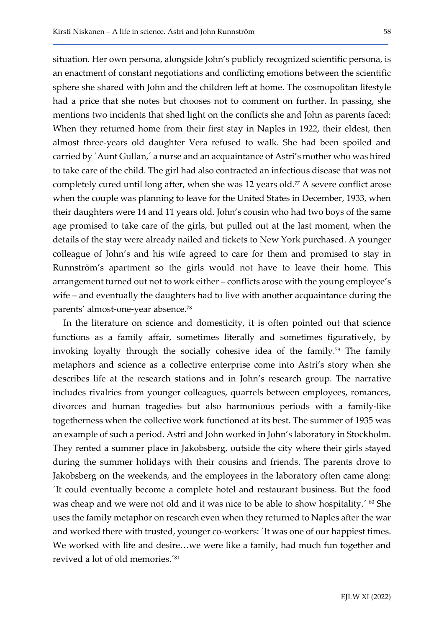situation. Her own persona, alongside John's publicly recognized scientific persona, is an enactment of constant negotiations and conflicting emotions between the scientific sphere she shared with John and the children left at home. The cosmopolitan lifestyle had a price that she notes but chooses not to comment on further. In passing, she mentions two incidents that shed light on the conflicts she and John as parents faced: When they returned home from their first stay in Naples in 1922, their eldest, then almost three-years old daughter Vera refused to walk. She had been spoiled and carried by ´Aunt Gullan,´ a nurse and an acquaintance of Astri's mother who was hired to take care of the child. The girl had also contracted an infectious disease that was not completely cured until long after, when she was 12 years old.<sup>77</sup> A severe conflict arose when the couple was planning to leave for the United States in December, 1933, when their daughters were 14 and 11 years old. John's cousin who had two boys of the same age promised to take care of the girls, but pulled out at the last moment, when the details of the stay were already nailed and tickets to New York purchased. A younger colleague of John's and his wife agreed to care for them and promised to stay in Runnström's apartment so the girls would not have to leave their home. This arrangement turned out not to work either – conflicts arose with the young employee's wife – and eventually the daughters had to live with another acquaintance during the parents' almost-one-year absence.<sup>78</sup>

In the literature on science and domesticity, it is often pointed out that science functions as a family affair, sometimes literally and sometimes figuratively, by invoking loyalty through the socially cohesive idea of the family.<sup>79</sup> The family metaphors and science as a collective enterprise come into Astri's story when she describes life at the research stations and in John's research group. The narrative includes rivalries from younger colleagues, quarrels between employees, romances, divorces and human tragedies but also harmonious periods with a family-like togetherness when the collective work functioned at its best. The summer of 1935 was an example of such a period. Astri and John worked in John's laboratory in Stockholm. They rented a summer place in Jakobsberg, outside the city where their girls stayed during the summer holidays with their cousins and friends. The parents drove to Jakobsberg on the weekends, and the employees in the laboratory often came along: ´It could eventually become a complete hotel and restaurant business. But the food was cheap and we were not old and it was nice to be able to show hospitality.<sup> $\degree$  80</sup> She uses the family metaphor on research even when they returned to Naples after the war and worked there with trusted, younger co-workers: ´It was one of our happiest times. We worked with life and desire…we were like a family, had much fun together and revived a lot of old memories.´81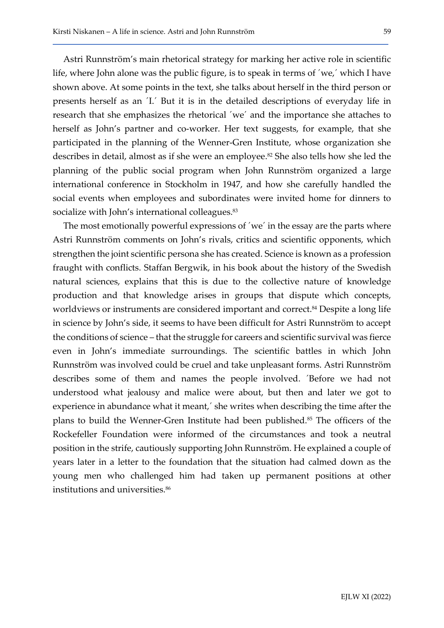Astri Runnström's main rhetorical strategy for marking her active role in scientific life, where John alone was the public figure, is to speak in terms of ´we,´ which I have shown above. At some points in the text, she talks about herself in the third person or presents herself as an ´I.´ But it is in the detailed descriptions of everyday life in research that she emphasizes the rhetorical ´we´ and the importance she attaches to herself as John's partner and co-worker. Her text suggests, for example, that she participated in the planning of the Wenner-Gren Institute, whose organization she describes in detail, almost as if she were an employee.<sup>82</sup> She also tells how she led the planning of the public social program when John Runnström organized a large international conference in Stockholm in 1947, and how she carefully handled the social events when employees and subordinates were invited home for dinners to socialize with John's international colleagues.<sup>83</sup>

The most emotionally powerful expressions of ´we´ in the essay are the parts where Astri Runnström comments on John's rivals, critics and scientific opponents, which strengthen the joint scientific persona she has created. Science is known as a profession fraught with conflicts. Staffan Bergwik, in his book about the history of the Swedish natural sciences, explains that this is due to the collective nature of knowledge production and that knowledge arises in groups that dispute which concepts, worldviews or instruments are considered important and correct.<sup>84</sup> Despite a long life in science by John's side, it seems to have been difficult for Astri Runnström to accept the conditions of science – that the struggle for careers and scientific survival was fierce even in John's immediate surroundings. The scientific battles in which John Runnström was involved could be cruel and take unpleasant forms. Astri Runnström describes some of them and names the people involved. ´Before we had not understood what jealousy and malice were about, but then and later we got to experience in abundance what it meant,´ she writes when describing the time after the plans to build the Wenner-Gren Institute had been published.<sup>85</sup> The officers of the Rockefeller Foundation were informed of the circumstances and took a neutral position in the strife, cautiously supporting John Runnström. He explained a couple of years later in a letter to the foundation that the situation had calmed down as the young men who challenged him had taken up permanent positions at other institutions and universities.<sup>86</sup>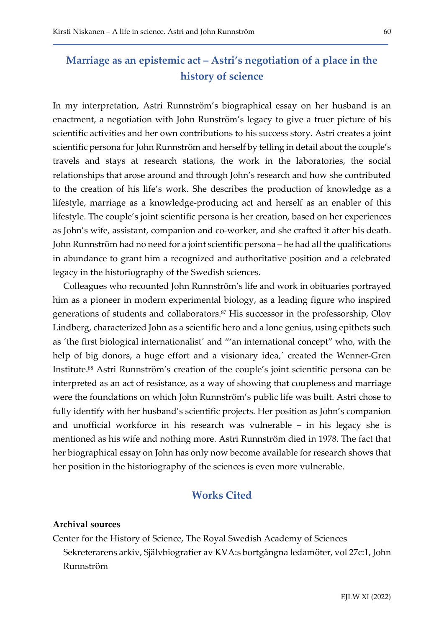### Marriage as an epistemic act – Astri's negotiation of a place in the history of science

In my interpretation, Astri Runnström's biographical essay on her husband is an enactment, a negotiation with John Runström's legacy to give a truer picture of his scientific activities and her own contributions to his success story. Astri creates a joint scientific persona for John Runnström and herself by telling in detail about the couple's travels and stays at research stations, the work in the laboratories, the social relationships that arose around and through John's research and how she contributed to the creation of his life's work. She describes the production of knowledge as a lifestyle, marriage as a knowledge-producing act and herself as an enabler of this lifestyle. The couple's joint scientific persona is her creation, based on her experiences as John's wife, assistant, companion and co-worker, and she crafted it after his death. John Runnström had no need for a joint scientific persona – he had all the qualifications in abundance to grant him a recognized and authoritative position and a celebrated legacy in the historiography of the Swedish sciences.

Colleagues who recounted John Runnström's life and work in obituaries portrayed him as a pioneer in modern experimental biology, as a leading figure who inspired generations of students and collaborators.87 His successor in the professorship, Olov Lindberg, characterized John as a scientific hero and a lone genius, using epithets such as ´the first biological internationalist´ and "'an international concept" who, with the help of big donors, a huge effort and a visionary idea,' created the Wenner-Gren Institute.88 Astri Runnström's creation of the couple's joint scientific persona can be interpreted as an act of resistance, as a way of showing that coupleness and marriage were the foundations on which John Runnström's public life was built. Astri chose to fully identify with her husband's scientific projects. Her position as John's companion and unofficial workforce in his research was vulnerable – in his legacy she is mentioned as his wife and nothing more. Astri Runnström died in 1978. The fact that her biographical essay on John has only now become available for research shows that her position in the historiography of the sciences is even more vulnerable.

### Works Cited

#### Archival sources

Center for the History of Science, The Royal Swedish Academy of Sciences Sekreterarens arkiv, Självbiografier av KVA:s bortgångna ledamöter, vol 27c:1, John Runnström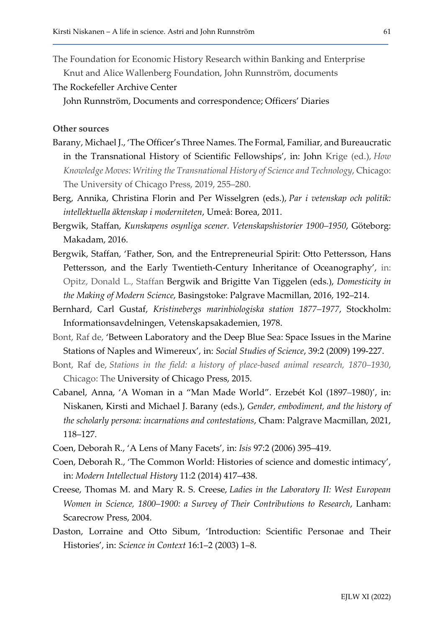The Foundation for Economic History Research within Banking and Enterprise

Knut and Alice Wallenberg Foundation, John Runnström, documents

The Rockefeller Archive Center

John Runnström, Documents and correspondence; Officers' Diaries

### Other sources

- Barany, Michael J., 'The Officer's Three Names. The Formal, Familiar, and Bureaucratic in the Transnational History of Scientific Fellowships', in: John Krige (ed.), How Knowledge Moves: Writing the Transnational History of Science and Technology, Chicago: The University of Chicago Press, 2019, 255–280.
- Berg, Annika, Christina Florin and Per Wisselgren (eds.), Par i vetenskap och politik: intellektuella äktenskap i moderniteten, Umeå: Borea, 2011.
- Bergwik, Staffan, Kunskapens osynliga scener. Vetenskapshistorier 1900–1950, Göteborg: Makadam, 2016.
- Bergwik, Staffan, 'Father, Son, and the Entrepreneurial Spirit: Otto Pettersson, Hans Pettersson, and the Early Twentieth-Century Inheritance of Oceanography', in: Opitz, Donald L., Staffan Bergwik and Brigitte Van Tiggelen (eds.), Domesticity in the Making of Modern Science, Basingstoke: Palgrave Macmillan, 2016, 192–214.
- Bernhard, Carl Gustaf, Kristinebergs marinbiologiska station 1877–1977, Stockholm: Informationsavdelningen, Vetenskapsakademien, 1978.
- Bont, Raf de, 'Between Laboratory and the Deep Blue Sea: Space Issues in the Marine Stations of Naples and Wimereux', in: Social Studies of Science, 39:2 (2009) 199-227.
- Bont, Raf de, Stations in the field: a history of place-based animal research, 1870–1930, Chicago: The University of Chicago Press, 2015.
- Cabanel, Anna, 'A Woman in a "Man Made World". Erzebét Kol (1897–1980)', in: Niskanen, Kirsti and Michael J. Barany (eds.), Gender, embodiment, and the history of the scholarly persona: incarnations and contestations, Cham: Palgrave Macmillan, 2021, 118–127.
- Coen, Deborah R., 'A Lens of Many Facets', in: Isis 97:2 (2006) 395–419.
- Coen, Deborah R., 'The Common World: Histories of science and domestic intimacy', in: Modern Intellectual History 11:2 (2014) 417–438.
- Creese, Thomas M. and Mary R. S. Creese, Ladies in the Laboratory II: West European Women in Science, 1800–1900: a Survey of Their Contributions to Research, Lanham: Scarecrow Press, 2004.
- Daston, Lorraine and Otto Sibum, 'Introduction: Scientific Personae and Their Histories', in: Science in Context 16:1–2 (2003) 1–8.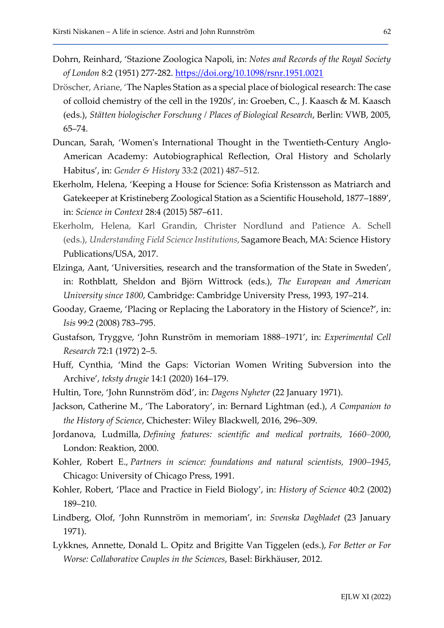- Dohrn, Reinhard, 'Stazione Zoologica Napoli, in: Notes and Records of the Royal Society of London 8:2 (1951) 277-282. https://doi.org/10.1098/rsnr.1951.0021
- Dröscher, Ariane, 'The Naples Station as a special place of biological research: The case of colloid chemistry of the cell in the 1920s', in: Groeben, C., J. Kaasch & M. Kaasch (eds.), Stätten biologischer Forschung / Places of Biological Research, Berlin: VWB, 2005, 65–74.
- Duncan, Sarah, 'Women's International Thought in the Twentieth-Century Anglo-American Academy: Autobiographical Reflection, Oral History and Scholarly Habitus', in: Gender & History 33:2 (2021) 487–512.
- Ekerholm, Helena, 'Keeping a House for Science: Sofia Kristensson as Matriarch and Gatekeeper at Kristineberg Zoological Station as a Scientific Household, 1877–1889', in: Science in Context 28:4 (2015) 587–611.
- Ekerholm, Helena, Karl Grandin, Christer Nordlund and Patience A. Schell (eds.), Understanding Field Science Institutions, Sagamore Beach, MA: Science History Publications/USA, 2017.
- Elzinga, Aant, 'Universities, research and the transformation of the State in Sweden', in: Rothblatt, Sheldon and Björn Wittrock (eds.), The European and American University since 1800, Cambridge: Cambridge University Press, 1993, 197–214.
- Gooday, Graeme, 'Placing or Replacing the Laboratory in the History of Science?', in: Isis 99:2 (2008) 783–795.
- Gustafson, Tryggve, 'John Runström in memoriam 1888–1971', in: Experimental Cell Research 72:1 (1972) 2–5.
- Huff, Cynthia, 'Mind the Gaps: Victorian Women Writing Subversion into the Archive', teksty drugie 14:1 (2020) 164–179.
- Hultin, Tore, 'John Runnström död', in: Dagens Nyheter (22 January 1971).
- Jackson, Catherine M., 'The Laboratory', in: Bernard Lightman (ed.), A Companion to the History of Science, Chichester: Wiley Blackwell, 2016, 296–309.
- Jordanova, Ludmilla, Defining features: scientific and medical portraits, 1660–2000, London: Reaktion, 2000.
- Kohler, Robert E., Partners in science: foundations and natural scientists, 1900–1945, Chicago: University of Chicago Press, 1991.
- Kohler, Robert, 'Place and Practice in Field Biology', in: History of Science 40:2 (2002) 189–210.
- Lindberg, Olof, 'John Runnström in memoriam', in: Svenska Dagbladet (23 January 1971).
- Lykknes, Annette, Donald L. Opitz and Brigitte Van Tiggelen (eds.), For Better or For Worse: Collaborative Couples in the Sciences, Basel: Birkhäuser, 2012.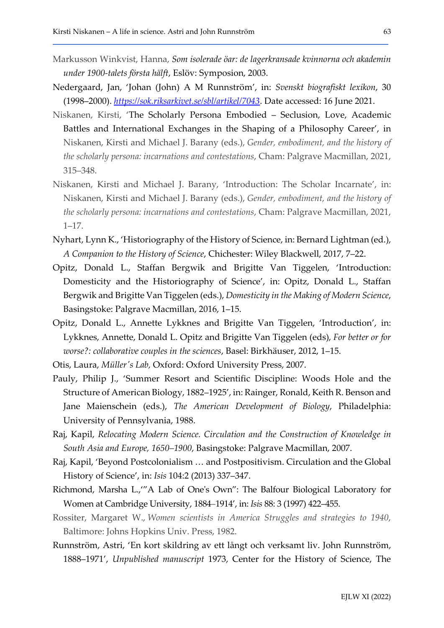- Markusson Winkvist, Hanna, Som isolerade öar: de lagerkransade kvinnorna och akademin under 1900-talets första hälft, Eslöv: Symposion, 2003.
- Nedergaard, Jan, 'Johan (John) A M Runnström', in: Svenskt biografiskt lexikon, 30 (1998–2000). *https://sok.riksarkivet.se/sbl/artikel/7043*. Date accessed: 16 June 2021.
- Niskanen, Kirsti, 'The Scholarly Persona Embodied Seclusion, Love, Academic Battles and International Exchanges in the Shaping of a Philosophy Career', in Niskanen, Kirsti and Michael J. Barany (eds.), Gender, embodiment, and the history of the scholarly persona: incarnations and contestations, Cham: Palgrave Macmillan, 2021, 315–348.
- Niskanen, Kirsti and Michael J. Barany, 'Introduction: The Scholar Incarnate', in: Niskanen, Kirsti and Michael J. Barany (eds.), Gender, embodiment, and the history of the scholarly persona: incarnations and contestations, Cham: Palgrave Macmillan, 2021, 1–17.
- Nyhart, Lynn K., 'Historiography of the History of Science, in: Bernard Lightman (ed.), A Companion to the History of Science, Chichester: Wiley Blackwell, 2017, 7–22.
- Opitz, Donald L., Staffan Bergwik and Brigitte Van Tiggelen, 'Introduction: Domesticity and the Historiography of Science', in: Opitz, Donald L., Staffan Bergwik and Brigitte Van Tiggelen (eds.), Domesticity in the Making of Modern Science, Basingstoke: Palgrave Macmillan, 2016, 1–15.
- Opitz, Donald L., Annette Lykknes and Brigitte Van Tiggelen, 'Introduction', in: Lykknes, Annette, Donald L. Opitz and Brigitte Van Tiggelen (eds), For better or for worse?: collaborative couples in the sciences, Basel: Birkhäuser, 2012, 1–15.
- Otis, Laura, Müller's Lab, Oxford: Oxford University Press, 2007.
- Pauly, Philip J., 'Summer Resort and Scientific Discipline: Woods Hole and the Structure of American Biology, 1882–1925', in: Rainger, Ronald, Keith R. Benson and Jane Maienschein (eds.), The American Development of Biology, Philadelphia: University of Pennsylvania, 1988.
- Raj, Kapil, Relocating Modern Science. Circulation and the Construction of Knowledge in South Asia and Europe, 1650–1900, Basingstoke: Palgrave Macmillan, 2007.
- Raj, Kapil, 'Beyond Postcolonialism … and Postpositivism. Circulation and the Global History of Science', in: Isis 104:2 (2013) 337–347.
- Richmond, Marsha L.,'"A Lab of One's Own": The Balfour Biological Laboratory for Women at Cambridge University, 1884–1914', in: Isis 88: 3 (1997) 422–455.
- Rossiter, Margaret W., Women scientists in America Struggles and strategies to 1940, Baltimore: Johns Hopkins Univ. Press, 1982.
- Runnström, Astri, 'En kort skildring av ett långt och verksamt liv. John Runnström, 1888–1971', Unpublished manuscript 1973, Center for the History of Science, The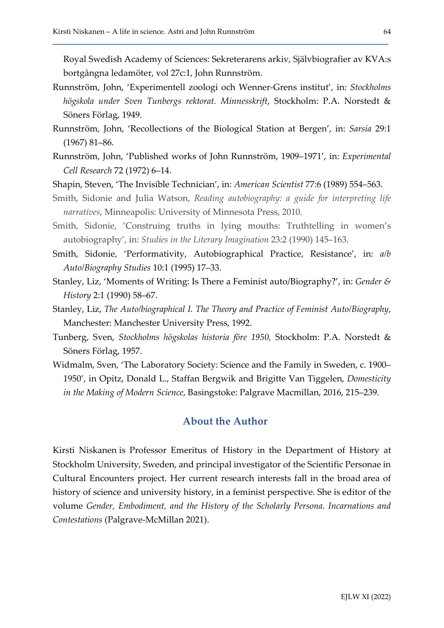Royal Swedish Academy of Sciences: Sekreterarens arkiv, Självbiografier av KVA:s bortgångna ledamöter, vol 27c:1, John Runnström.

- Runnström, John, 'Experimentell zoologi och Wenner-Grens institut', in: Stockholms högskola under Sven Tunbergs rektorat. Minnesskrift, Stockholm: P.A. Norstedt & Söners Förlag, 1949.
- Runnström, John, 'Recollections of the Biological Station at Bergen', in: Sarsia 29:1 (1967) 81–86.
- Runnström, John, 'Published works of John Runnström, 1909–1971', in: Experimental Cell Research 72 (1972) 6–14.
- Shapin, Steven, 'The Invisible Technician', in: American Scientist 77:6 (1989) 554–563.
- Smith, Sidonie and Julia Watson, Reading autobiography: a guide for interpreting life narratives, Minneapolis: University of Minnesota Press, 2010.
- Smith, Sidonie, 'Construing truths in lying mouths: Truthtelling in women's autobiography', in: Studies in the Literary Imagination 23:2 (1990) 145–163.
- Smith, Sidonie, 'Performativity, Autobiographical Practice, Resistance', in: a/b Auto/Biography Studies 10:1 (1995) 17–33.
- Stanley, Liz, 'Moments of Writing: Is There a Feminist auto/Biography?', in: Gender  $\mathcal{E}$ History 2:1 (1990) 58–67.
- Stanley, Liz, The Auto/biographical I. The Theory and Practice of Feminist Auto/Biography, Manchester: Manchester University Press, 1992.
- Tunberg, Sven, Stockholms högskolas historia före 1950, Stockholm: P.A. Norstedt & Söners Förlag, 1957.
- Widmalm, Sven, 'The Laboratory Society: Science and the Family in Sweden, c. 1900– 1950', in Opitz, Donald L., Staffan Bergwik and Brigitte Van Tiggelen, Domesticity in the Making of Modern Science, Basingstoke: Palgrave Macmillan, 2016, 215–239.

### About the Author

Kirsti Niskanen is Professor Emeritus of History in the Department of History at Stockholm University, Sweden, and principal investigator of the Scientific Personae in Cultural Encounters project. Her current research interests fall in the broad area of history of science and university history, in a feminist perspective. She is editor of the volume Gender, Embodiment, and the History of the Scholarly Persona. Incarnations and Contestations (Palgrave-McMillan 2021).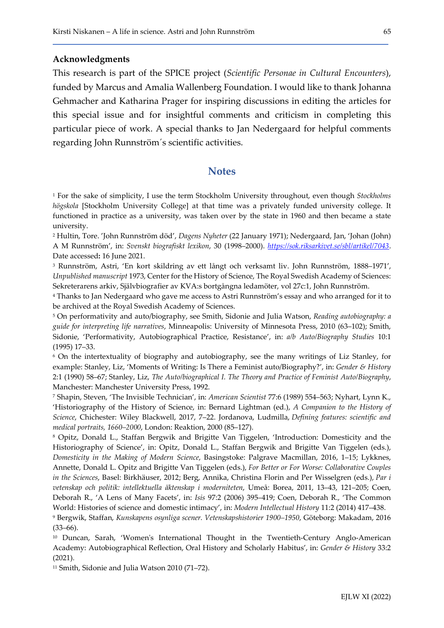#### Acknowledgments

This research is part of the SPICE project (Scientific Personae in Cultural Encounters), funded by Marcus and Amalia Wallenberg Foundation. I would like to thank Johanna Gehmacher and Katharina Prager for inspiring discussions in editing the articles for this special issue and for insightful comments and criticism in completing this particular piece of work. A special thanks to Jan Nedergaard for helpful comments regarding John Runnström´s scientific activities.

### **Notes**

<sup>1</sup> For the sake of simplicity, I use the term Stockholm University throughout, even though Stockholms högskola [Stockholm University College] at that time was a privately funded university college. It functioned in practice as a university, was taken over by the state in 1960 and then became a state university.

2 Hultin, Tore. 'John Runnström död', Dagens Nyheter (22 January 1971); Nedergaard, Jan, 'Johan (John) A M Runnström', in: Svenskt biografiskt lexikon, 30 (1998–2000). https://sok.riksarkivet.se/sbl/artikel/7043. Date accessed: 16 June 2021.

3 Runnström, Astri, 'En kort skildring av ett långt och verksamt liv. John Runnström, 1888–1971', Unpublished manuscript 1973, Center for the History of Science, The Royal Swedish Academy of Sciences: Sekreterarens arkiv, Självbiografier av KVA:s bortgångna ledamöter, vol 27c:1, John Runnström.

4 Thanks to Jan Nedergaard who gave me access to Astri Runnström's essay and who arranged for it to be archived at the Royal Swedish Academy of Sciences.

<sup>5</sup> On performativity and auto/biography, see Smith, Sidonie and Julia Watson, Reading autobiography: a guide for interpreting life narratives, Minneapolis: University of Minnesota Press, 2010 (63–102); Smith, Sidonie, 'Performativity, Autobiographical Practice, Resistance', in: a/b Auto/Biography Studies 10:1 (1995) 17–33.

6 On the intertextuality of biography and autobiography, see the many writings of Liz Stanley, for example: Stanley, Liz, 'Moments of Writing: Is There a Feminist auto/Biography?', in: Gender & History 2:1 (1990) 58–67; Stanley, Liz, The Auto/biographical I. The Theory and Practice of Feminist Auto/Biography, Manchester: Manchester University Press, 1992.

7 Shapin, Steven, 'The Invisible Technician', in: American Scientist 77:6 (1989) 554–563; Nyhart, Lynn K., 'Historiography of the History of Science, in: Bernard Lightman (ed.), A Companion to the History of Science, Chichester: Wiley Blackwell, 2017, 7–22. Jordanova, Ludmilla, Defining features: scientific and medical portraits, 1660–2000, London: Reaktion, 2000 (85–127).

8 Opitz, Donald L., Staffan Bergwik and Brigitte Van Tiggelen, 'Introduction: Domesticity and the Historiography of Science', in: Opitz, Donald L., Staffan Bergwik and Brigitte Van Tiggelen (eds.), Domesticity in the Making of Modern Science, Basingstoke: Palgrave Macmillan, 2016, 1–15; Lykknes, Annette, Donald L. Opitz and Brigitte Van Tiggelen (eds.), For Better or For Worse: Collaborative Couples in the Sciences, Basel: Birkhäuser, 2012; Berg, Annika, Christina Florin and Per Wisselgren (eds.), Par i vetenskap och politik: intellektuella äktenskap i moderniteten, Umeå: Borea, 2011, 13–43, 121–205; Coen, Deborah R., 'A Lens of Many Facets', in: Isis 97:2 (2006) 395–419; Coen, Deborah R., 'The Common World: Histories of science and domestic intimacy', in: Modern Intellectual History 11:2 (2014) 417–438.

9 Bergwik, Staffan, Kunskapens osynliga scener. Vetenskapshistorier 1900–1950, Göteborg: Makadam, 2016  $(33–66)$ .

<sup>10</sup> Duncan, Sarah, 'Women's International Thought in the Twentieth-Century Anglo-American Academy: Autobiographical Reflection, Oral History and Scholarly Habitus', in: Gender & History 33:2 (2021).

11 Smith, Sidonie and Julia Watson 2010 (71–72).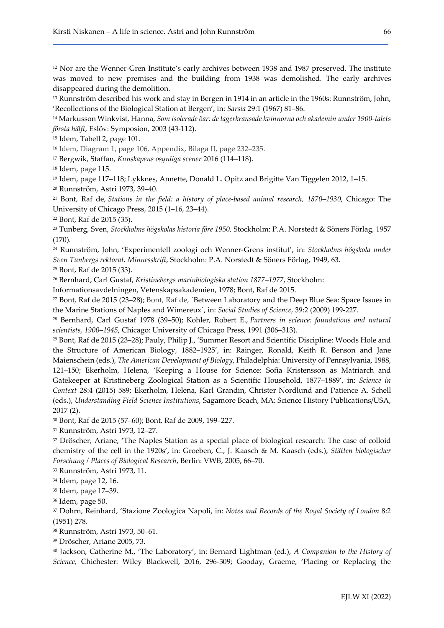<sup>12</sup> Nor are the Wenner-Gren Institute's early archives between 1938 and 1987 preserved. The institute was moved to new premises and the building from 1938 was demolished. The early archives disappeared during the demolition.

<sup>13</sup> Runnström described his work and stay in Bergen in 1914 in an article in the 1960s: Runnström, John, 'Recollections of the Biological Station at Bergen', in: Sarsia 29:1 (1967) 81–86.

<sup>14</sup> Markusson Winkvist, Hanna, Som isolerade öar: de lagerkransade kvinnorna och akademin under 1900-talets första hälft, Eslöv: Symposion, 2003 (43-112).

<sup>15</sup> Idem, Tabell 2, page 101.

<sup>16</sup> Idem, Diagram 1, page 106, Appendix, Bilaga II, page 232–235.

<sup>17</sup> Bergwik, Staffan, Kunskapens osynliga scener 2016 (114–118).

<sup>18</sup> Idem, page 115.

<sup>19</sup> Idem, page 117–118; Lykknes, Annette, Donald L. Opitz and Brigitte Van Tiggelen 2012, 1–15.

<sup>20</sup> Runnström, Astri 1973, 39–40.

<sup>21</sup> Bont, Raf de, Stations in the field: a history of place-based animal research, 1870–1930, Chicago: The University of Chicago Press, 2015 (1–16, 23–44).

<sup>22</sup> Bont, Raf de 2015 (35).

<sup>23</sup> Tunberg, Sven, Stockholms högskolas historia före 1950, Stockholm: P.A. Norstedt & Söners Förlag, 1957 (170).

<sup>24</sup> Runnström, John, 'Experimentell zoologi och Wenner-Grens institut', in: Stockholms högskola under Sven Tunbergs rektorat. Minnesskrift, Stockholm: P.A. Norstedt & Söners Förlag, 1949, 63.

<sup>25</sup> Bont, Raf de 2015 (33).

<sup>26</sup> Bernhard, Carl Gustaf, Kristinebergs marinbiologiska station 1877–1977, Stockholm:

Informationsavdelningen, Vetenskapsakademien, 1978; Bont, Raf de 2015.

<sup>27</sup> Bont, Raf de 2015 (23–28); Bont, Raf de, ´Between Laboratory and the Deep Blue Sea: Space Issues in the Marine Stations of Naples and Wimereux´, in: Social Studies of Science, 39:2 (2009) 199-227.

<sup>28</sup> Bernhard, Carl Gustaf 1978 (39–50); Kohler, Robert E., Partners in science: foundations and natural scientists, 1900–1945, Chicago: University of Chicago Press, 1991 (306–313).

<sup>29</sup> Bont, Raf de 2015 (23–28); Pauly, Philip J., 'Summer Resort and Scientific Discipline: Woods Hole and the Structure of American Biology, 1882–1925', in: Rainger, Ronald, Keith R. Benson and Jane Maienschein (eds.), The American Development of Biology, Philadelphia: University of Pennsylvania, 1988, 121–150; Ekerholm, Helena, 'Keeping a House for Science: Sofia Kristensson as Matriarch and Gatekeeper at Kristineberg Zoological Station as a Scientific Household, 1877–1889', in: Science in Context 28:4 (2015) 589; Ekerholm, Helena, Karl Grandin, Christer Nordlund and Patience A. Schell (eds.), Understanding Field Science Institutions, Sagamore Beach, MA: Science History Publications/USA, 2017 (2).

<sup>30</sup> Bont, Raf de 2015 (57–60); Bont, Raf de 2009, 199–227.

<sup>31</sup> Runnström, Astri 1973, 12–27.

<sup>32</sup> Dröscher, Ariane, 'The Naples Station as a special place of biological research: The case of colloid chemistry of the cell in the 1920s', in: Groeben, C., J. Kaasch & M. Kaasch (eds.), Stätten biologischer Forschung / Places of Biological Research, Berlin: VWB, 2005, 66–70.

<sup>33</sup> Runnström, Astri 1973, 11.

<sup>34</sup> Idem, page 12, 16.

<sup>35</sup> Idem, page 17–39.

<sup>36</sup> Idem, page 50.

<sup>37</sup> Dohrn, Reinhard, 'Stazione Zoologica Napoli, in: Notes and Records of the Royal Society of London 8:2 (1951) 278.

<sup>38</sup> Runnström, Astri 1973, 50–61.

<sup>39</sup> Dröscher, Ariane 2005, 73.

<sup>40</sup> Jackson, Catherine M., 'The Laboratory', in: Bernard Lightman (ed.), A Companion to the History of Science, Chichester: Wiley Blackwell, 2016, 296-309; Gooday, Graeme, 'Placing or Replacing the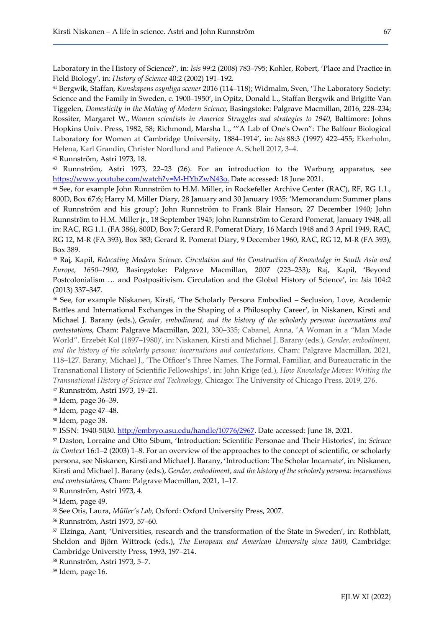Laboratory in the History of Science?', in: Isis 99:2 (2008) 783–795; Kohler, Robert, 'Place and Practice in Field Biology', in: History of Science 40:2 (2002) 191–192.

<sup>41</sup> Bergwik, Staffan, Kunskapens osynliga scener 2016 (114–118); Widmalm, Sven, 'The Laboratory Society: Science and the Family in Sweden, c. 1900–1950', in Opitz, Donald L., Staffan Bergwik and Brigitte Van Tiggelen, Domesticity in the Making of Modern Science, Basingstoke: Palgrave Macmillan, 2016, 228–234; Rossiter, Margaret W., Women scientists in America Struggles and strategies to 1940, Baltimore: Johns Hopkins Univ. Press, 1982, 58; Richmond, Marsha L., '"A Lab of One's Own": The Balfour Biological Laboratory for Women at Cambridge University, 1884–1914', in: Isis 88:3 (1997) 422–455; Ekerholm, Helena, Karl Grandin, Christer Nordlund and Patience A. Schell 2017, 3–4.

<sup>42</sup> Runnström, Astri 1973, 18.

<sup>43</sup> Runnström, Astri 1973, 22–23 (26). For an introduction to the Warburg apparatus, see https://www.youtube.com/watch?v=M-HYbZwN43o. Date accessed: 18 June 2021.

<sup>44</sup> See, for example John Runnström to H.M. Miller, in Rockefeller Archive Center (RAC), RF, RG 1.1., 800D, Box 67:6; Harry M. Miller Diary, 28 January and 30 January 1935: 'Memorandum: Summer plans of Runnström and his group'; John Runnström to Frank Blair Hanson, 27 December 1940; John Runnström to H.M. Miller jr., 18 September 1945; John Runnström to Gerard Pomerat, January 1948, all in: RAC, RG 1.1. (FA 386), 800D, Box 7; Gerard R. Pomerat Diary, 16 March 1948 and 3 April 1949, RAC, RG 12, M-R (FA 393), Box 383; Gerard R. Pomerat Diary, 9 December 1960, RAC, RG 12, M-R (FA 393), Box 389.

<sup>45</sup> Raj, Kapil, Relocating Modern Science. Circulation and the Construction of Knowledge in South Asia and Europe, 1650–1900, Basingstoke: Palgrave Macmillan, 2007 (223–233); Raj, Kapil, 'Beyond Postcolonialism … and Postpositivism. Circulation and the Global History of Science', in: Isis 104:2 (2013) 337–347.

<sup>46</sup> See, for example Niskanen, Kirsti, 'The Scholarly Persona Embodied – Seclusion, Love, Academic Battles and International Exchanges in the Shaping of a Philosophy Career', in Niskanen, Kirsti and Michael J. Barany (eds.), Gender, embodiment, and the history of the scholarly persona: incarnations and contestations, Cham: Palgrave Macmillan, 2021, 330–335; Cabanel, Anna, 'A Woman in a "Man Made World". Erzebét Kol (1897–1980)', in: Niskanen, Kirsti and Michael J. Barany (eds.), Gender, embodiment, and the history of the scholarly persona: incarnations and contestations, Cham: Palgrave Macmillan, 2021, 118–127. Barany, Michael J., 'The Officer's Three Names. The Formal, Familiar, and Bureaucratic in the Transnational History of Scientific Fellowships', in: John Krige (ed.), How Knowledge Moves: Writing the Transnational History of Science and Technology, Chicago: The University of Chicago Press, 2019, 276. <sup>47</sup> Runnström, Astri 1973, 19–21.

<sup>48</sup> Idem, page 36–39.

<sup>49</sup> Idem, page 47–48.

<sup>50</sup> Idem, page 38.

<sup>51</sup> ISSN: 1940-5030. http://embryo.asu.edu/handle/10776/2967. Date accessed: June 18, 2021.

<sup>52</sup> Daston, Lorraine and Otto Sibum, 'Introduction: Scientific Personae and Their Histories', in: Science in Context 16:1–2 (2003) 1–8. For an overview of the approaches to the concept of scientific, or scholarly persona, see Niskanen, Kirsti and Michael J. Barany, 'Introduction: The Scholar Incarnate', in: Niskanen, Kirsti and Michael J. Barany (eds.), Gender, embodiment, and the history of the scholarly persona: incarnations and contestations, Cham: Palgrave Macmillan, 2021, 1–17.

<sup>53</sup> Runnström, Astri 1973, 4.

<sup>54</sup> Idem, page 49.

<sup>55</sup> See Otis, Laura, Müller's Lab, Oxford: Oxford University Press, 2007.

<sup>56</sup> Runnström, Astri 1973, 57–60.

<sup>57</sup> Elzinga, Aant, 'Universities, research and the transformation of the State in Sweden', in: Rothblatt, Sheldon and Björn Wittrock (eds.), The European and American University since 1800, Cambridge: Cambridge University Press, 1993, 197–214.

<sup>58</sup> Runnström, Astri 1973, 5–7.

59 Idem, page 16.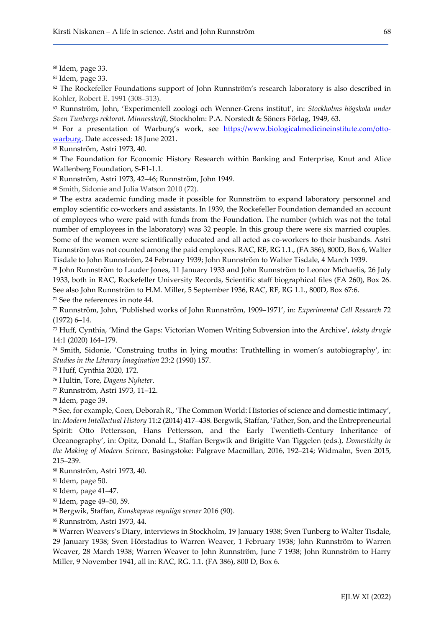<sup>60</sup> Idem, page 33.

<sup>61</sup> Idem, page 33.

 $62$  The Rockefeller Foundations support of John Runnström's research laboratory is also described in Kohler, Robert E. 1991 (308–313).

<sup>63</sup> Runnström, John, 'Experimentell zoologi och Wenner-Grens institut', in: Stockholms högskola under Sven Tunbergs rektorat. Minnesskrift, Stockholm: P.A. Norstedt & Söners Förlag, 1949, 63.

<sup>64</sup> For a presentation of Warburg's work, see https://www.biologicalmedicineinstitute.com/ottowarburg. Date accessed: 18 June 2021.

<sup>65</sup> Runnström, Astri 1973, 40.

<sup>66</sup> The Foundation for Economic History Research within Banking and Enterprise, Knut and Alice Wallenberg Foundation, S-F1-1.1.

<sup>67</sup> Runnström, Astri 1973, 42–46; Runnström, John 1949.

<sup>68</sup> Smith, Sidonie and Julia Watson 2010 (72).

<sup>69</sup> The extra academic funding made it possible for Runnström to expand laboratory personnel and employ scientific co-workers and assistants. In 1939, the Rockefeller Foundation demanded an account of employees who were paid with funds from the Foundation. The number (which was not the total number of employees in the laboratory) was 32 people. In this group there were six married couples. Some of the women were scientifically educated and all acted as co-workers to their husbands. Astri Runnström was not counted among the paid employees. RAC, RF, RG 1.1., (FA 386), 800D, Box 6, Walter Tisdale to John Runnström, 24 February 1939; John Runnström to Walter Tisdale, 4 March 1939.

<sup>70</sup> John Runnström to Lauder Jones, 11 January 1933 and John Runnström to Leonor Michaelis, 26 July 1933, both in RAC, Rockefeller University Records, Scientific staff biographical files (FA 260), Box 26. See also John Runnström to H.M. Miller, 5 September 1936, RAC, RF, RG 1.1., 800D, Box 67:6. <sup>71</sup> See the references in note 44.

<sup>72</sup> Runnström, John, 'Published works of John Runnström, 1909–1971', in: Experimental Cell Research 72 (1972) 6–14.

<sup>73</sup> Huff, Cynthia, 'Mind the Gaps: Victorian Women Writing Subversion into the Archive', teksty drugie 14:1 (2020) 164–179.

<sup>74</sup> Smith, Sidonie, 'Construing truths in lying mouths: Truthtelling in women's autobiography', in: Studies in the Literary Imagination 23:2 (1990) 157.

<sup>75</sup> Huff, Cynthia 2020, 172.

<sup>76</sup> Hultin, Tore, Dagens Nyheter.

<sup>77</sup> Runnström, Astri 1973, 11–12.

<sup>78</sup> Idem, page 39.

<sup>79</sup> See, for example, Coen, Deborah R., 'The Common World: Histories of science and domestic intimacy', in: Modern Intellectual History 11:2 (2014) 417–438. Bergwik, Staffan, 'Father, Son, and the Entrepreneurial Spirit: Otto Pettersson, Hans Pettersson, and the Early Twentieth-Century Inheritance of Oceanography', in: Opitz, Donald L., Staffan Bergwik and Brigitte Van Tiggelen (eds.), Domesticity in the Making of Modern Science, Basingstoke: Palgrave Macmillan, 2016, 192–214; Widmalm, Sven 2015, 215–239.

<sup>80</sup> Runnström, Astri 1973, 40.

<sup>81</sup> Idem, page 50.

<sup>82</sup> Idem, page 41–47.

<sup>83</sup> Idem, page 49–50, 59.

<sup>84</sup> Bergwik, Staffan, Kunskapens osynliga scener 2016 (90).

<sup>85</sup> Runnström, Astri 1973, 44.

<sup>86</sup> Warren Weavers's Diary, interviews in Stockholm, 19 January 1938; Sven Tunberg to Walter Tisdale, 29 January 1938; Sven Hörstadius to Warren Weaver, 1 February 1938; John Runnström to Warren Weaver, 28 March 1938; Warren Weaver to John Runnström, June 7 1938; John Runnström to Harry Miller, 9 November 1941, all in: RAC, RG. 1.1. (FA 386), 800 D, Box 6.